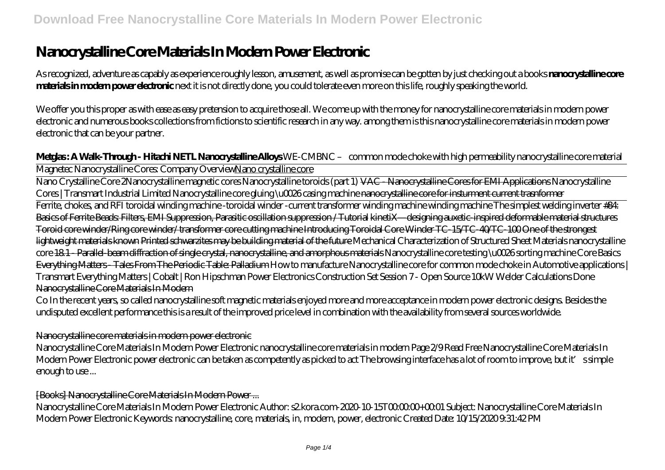# **Nanocrystalline Core Materials In Modern Power Electronic**

As recognized, adventure as capably as experience roughly lesson, amusement, as well as promise can be gotten by just checking out a books **nanocrystalline core materials in modern power electronic** next it is not directly done, you could tolerate even more on this life, roughly speaking the world.

We offer you this proper as with ease as easy pretension to acquire those all. We come up with the money for nanocrystalline core materials in modern power electronic and numerous books collections from fictions to scientific research in any way. among them is this nanocrystalline core materials in modern power electronic that can be your partner.

**Metglas : A Walk-Through - Hitachi NETL Nanocrystalline Alloys** *WE-CMBNC – common mode choke with high permeability nanocrystalline core material* Magnetec Nanocrystalline Cores: Company OverviewNano crystalline core

Nano Crystalline Core 2*Nanocrystalline magnetic cores Nanocrystalline toroids (part 1)* VAC - Nanocrystalline Cores for EMI Applications *Nanocrystalline Cores | Transmart Industrial Limited Nanocrystalline core gluing \u0026 casing machine* nanocrystalline core for insturment current trasnformer

Ferrite, chokes, and RFI toroidal winding machine -toroidal winder -current transformer winding machine winding machine *The simplest welding inverter* #84: Basics of Ferrite Beads: Filters, EMI Suppression, Parasitic oscillation suppression / Tutorial kinetiX—designing auxetic-inspired deformable material structures Toroid core winder/Ring core winder/ transformer core cutting machine Introducing Toroidal Core Winder TC-15/TC-40/TC-100 One of the strongest lightweight materials known Printed schwarzites may be building material of the future Mechanical Characterization of Structured Sheet Materials nanocrystalline core 18.1 - Parallel-beam diffraction of single crystal, nanocrystalline, and amorphous materials *Nanocrystalline core testing \u0026 sorting machine Core Basics* Everything Matters - Tales From The Periodic Table: Palladium *How to manufacture Nanocrystalline core for common mode choke in Automotive applications | Transmart Everything Matters | Cobalt | Ron Hipschman Power Electronics Construction Set Session 7 - Open Source 10kW Welder Calculations Done* Nanocrystalline Core Materials In Modern

Co In the recent years, so called nanocrystalline soft magnetic materials enjoyed more and more acceptance in modern power electronic designs. Besides the undisputed excellent performance this is a result of the improved price level in combination with the availability from several sources worldwide.

### Nanocrystalline core materials in modern power electronic

Nanocrystalline Core Materials In Modern Power Electronic nanocrystalline core materials in modern Page 2/9 Read Free Nanocrystalline Core Materials In Modern Power Electronic power electronic can be taken as competently as picked to act The browsing interface has a lot of room to improve, but it's simple enough to use ...

### [Books] Nanocrystalline Core Materials In Modern Power ...

Nanocrystalline Core Materials In Modern Power Electronic Author: s2 kora.com-2020-10-15T00:00:00+00:01 Subject: Nanocrystalline Core Materials In Modern Power Electronic Keywords: nanocrystalline, core, materials, in, modern, power, electronic Created Date: 10/15/2020 9:31:42 PM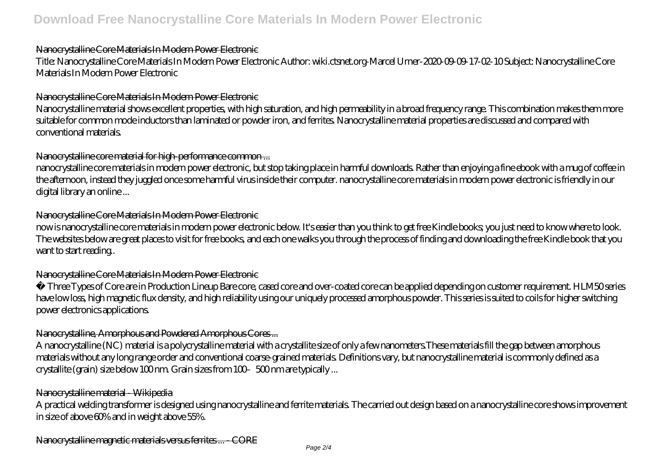### Nanocrystalline Core Materials In Modern Power Electronic

Title: Nanocrystalline Core Materials In Modern Power Electronic Author: wiki.ctsnet.org-Marcel Urner-2020-09-09-17-02-10 Subject: Nanocrystalline Core Materials In Modern Power Electronic

## Nanocrystalline Core Materials In Modern Power Electronic

Nanocrystalline material shows excellent properties, with high saturation, and high permeability in a broad frequency range. This combination makes them more suitable for common mode inductors than laminated or powder iron, and ferrites. Nanocrystalline material properties are discussed and compared with conventional materials.

## Nanocrystalline core material for high-performance common ...

nanocrystalline core materials in modern power electronic, but stop taking place in harmful downloads. Rather than enjoying a fine ebook with a mug of coffee in the afternoon, instead they juggled once some harmful virus inside their computer. nanocrystalline core materials in modern power electronic is friendly in our digital library an online ...

## Nanocrystalline Core Materials In Modern Power Electronic

now is nanocrystalline core materials in modern power electronic below. It's easier than you think to get free Kindle books; you just need to know where to look. The websites below are great places to visit for free books, and each one walks you through the process of finding and downloading the free Kindle book that you want to start reading..

## Nanocrystalline Core Materials In Modern Power Electronic

• Three Types of Core are in Production Lineup Bare core, cased core and over-coated core can be applied depending on customer requirement. HLM50 series have low loss, high magnetic flux density, and high reliability using our uniquely processed amorphous powder. This series is suited to coils for higher switching power electronics applications.

## Nanocrystalline, Amorphous and Powdered Amorphous Cores ...

A nanocrystalline (NC) material is a polycrystalline material with a crystallite size of only a few nanometers.These materials fill the gap between amorphous materials without any long range order and conventional coarse-grained materials. Definitions vary, but nanocrystalline material is commonly defined as a crystallite (grain) size below 100 nm. Grain sizes from 100-500 nm are typically ...

## Nanocrystalline material - Wikipedia

A practical welding transformer is designed using nanocrystalline and ferrite materials. The carried out design based on a nanocrystalline core shows improvement in size of above 60% and in weight above 55%.

Nanocrystalline magnetic materials versus ferrites ... - CORE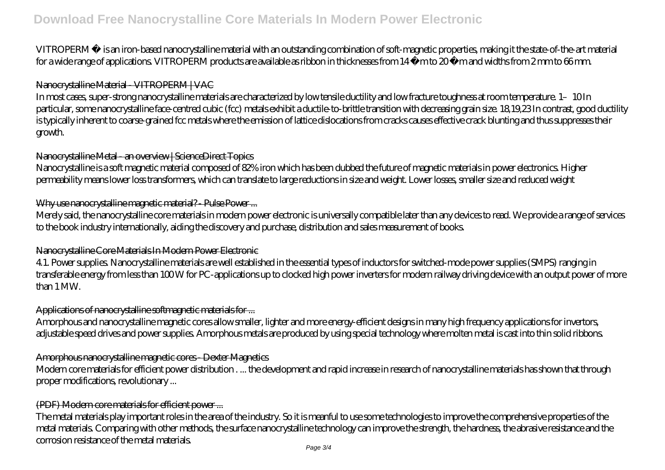## **Download Free Nanocrystalline Core Materials In Modern Power Electronic**

VITROPERM ® is an iron-based nanocrystalline material with an outstanding combination of soft-magnetic properties, making it the state-of-the-art material for a wide range of applications. VITROPERM products are available as ribbon in thicknesses from 14 µm to 20 µm and widths from 2 mm to 66 mm.

### Nanocrystalline Material - VITROPERM | VAC

In most cases, super-strong nanocrystalline materials are characterized by low tensile ductility and low fracture toughness at room temperature. 1–10 In particular, some nanocrystalline face-centred cubic (fcc) metals exhibit a ductile-to-brittle transition with decreasing grain size. 18,19,23 In contrast, good ductility is typically inherent to coarse-grained fcc metals where the emission of lattice dislocations from cracks causes effective crack blunting and thus suppresses their growth.

#### Nanocrystalline Metal - an overview | ScienceDirect Topics

Nanocrystalline is a soft magnetic material composed of 82% iron which has been dubbed the future of magnetic materials in power electronics. Higher permeability means lower loss transformers, which can translate to large reductions in size and weight. Lower losses, smaller size and reduced weight

### Why use nanocrystalline magnetic material? - Pulse Power ...

Merely said, the nanocrystalline core materials in modern power electronic is universally compatible later than any devices to read. We provide a range of services to the book industry internationally, aiding the discovery and purchase, distribution and sales measurement of books.

### Nanocrystalline Core Materials In Modern Power Electronic

4.1. Power supplies. Nanocrystalline materials are well established in the essential types of inductors for switched-mode power supplies (SMPS) ranging in transferable energy from less than 100 W for PC-applications up to clocked high power inverters for modern railway driving device with an output power of more than 1 MW.

### Applications of nanocrystalline softmagnetic materials for ...

Amorphous and nanocrystalline magnetic cores allow smaller, lighter and more energy-efficient designs in many high frequency applications for invertors, adjustable speed drives and power supplies. Amorphous metals are produced by using special technology where molten metal is cast into thin solid ribbons.

### Amorphous nanocrystalline magnetic cores - Dexter Magnetics

Modern core materials for efficient power distribution . ... the development and rapid increase in research of nanocrystalline materials has shown that through proper modifications, revolutionary ...

### (PDF) Modern core materials for efficient power ...

The metal materials play important roles in the area of the industry. So it is meanful to use some technologies to improve the comprehensive properties of the metal materials. Comparing with other methods, the surface nanocrystalline technology can improve the strength, the hardness, the abrasive resistance and the corrosion resistance of the metal materials.

Page 3/4